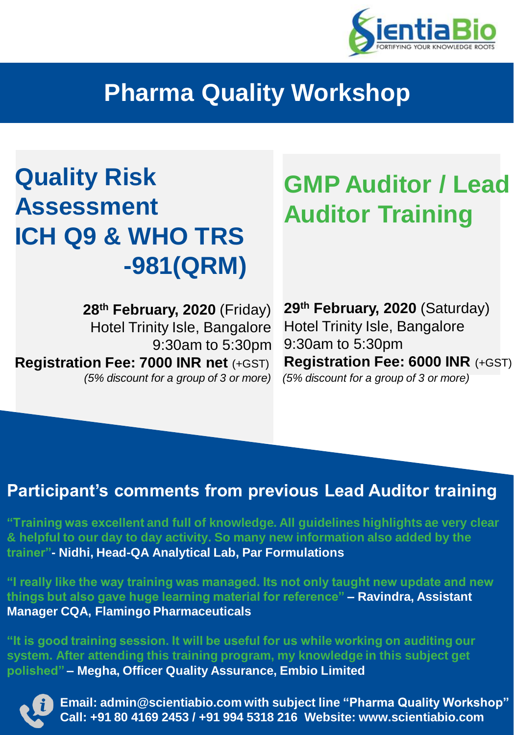

## **Pharma Quality Workshop**

# **Quality Risk Assessment ICH Q9 & WHO TRS -981(QRM)**

## **GMP Auditor / Lead Auditor Training**

**28th February, 2020** (Friday) Hotel Trinity Isle, Bangalore 9:30am to 5:30pm **Registration Fee: 7000 INR net** (+GST) *(5% discount for a group of 3 or more) (5% discount for a group of 3 or more)*

**29th February, 2020** (Saturday) Hotel Trinity Isle, Bangalore 9:30am to 5:30pm **Registration Fee: 6000 INR** (+GST)

### **Participant's comments from previous Lead Auditor training**

**"Training was excellent and full of knowledge. All guidelines highlights ae very clear & helpful to our day to day activity. So many new information also added by the trainer"- Nidhi, Head-QA Analytical Lab, Par Formulations**

**"I really like the way training was managed. Its not only taught new update and new things but also gave huge learning material for reference" – Ravindra, Assistant Manager CQA, Flamingo Pharmaceuticals** 

**"It is good training session. It will be useful for us while working on auditing our system. After attending this training program, my knowledge in this subject get polished" – Megha, Officer Quality Assurance, Embio Limited** 



**0 Email: admin@scientiabio.com with subject line "Pharma Quality Workshop" Call: +91 80 4169 2453 / +91 994 5318 216 Website: www.scientiabio.com**